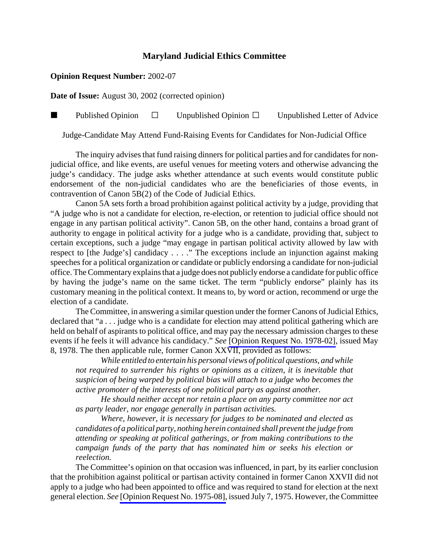## **Maryland Judicial Ethics Committee**

## **Opinion Request Number:** 2002-07

**Date of Issue:** August 30, 2002 (corrected opinion)

Published Opinion  $\Box$  Unpublished Opinion  $\Box$  Unpublished Letter of Advice

Judge-Candidate May Attend Fund-Raising Events for Candidates for Non-Judicial Office

The inquiry advises that fund raising dinners for political parties and for candidates for nonjudicial office, and like events, are useful venues for meeting voters and otherwise advancing the judge's candidacy. The judge asks whether attendance at such events would constitute public endorsement of the non-judicial candidates who are the beneficiaries of those events, in contravention of Canon 5B(2) of the Code of Judicial Ethics.

Canon 5A sets forth a broad prohibition against political activity by a judge, providing that "A judge who is not a candidate for election, re-election, or retention to judicial office should not engage in any partisan political activity". Canon 5B, on the other hand, contains a broad grant of authority to engage in political activity for a judge who is a candidate, providing that, subject to certain exceptions, such a judge "may engage in partisan political activity allowed by law with respect to [the Judge's] candidacy . . . ." The exceptions include an injunction against making speeches for a political organization or candidate or publicly endorsing a candidate for non-judicial office. The Commentary explains that a judge does not publicly endorse a candidate for public office by having the judge's name on the same ticket. The term "publicly endorse" plainly has its customary meaning in the political context. It means to, by word or action, recommend or urge the election of a candidate.

The Committee, in answering a similar question under the former Canons of Judicial Ethics, declared that "a . . . judge who is a candidate for election may attend political gathering which are held on behalf of aspirants to political office, and may pay the necessary admission charges to these events if he feels it will advance his candidacy." *See* [\[Opinion Request No. 1978-02\]](http://www.mdcourts.gov/ethics/pdfs/1978-02.pdf), issued May 8, 1978. The then applicable rule, former Canon XXVII, provided as follows:

*While entitled to entertain his personal views of political questions, and while not required to surrender his rights or opinions as a citizen, it is inevitable that suspicion of being warped by political bias will attach to a judge who becomes the active promoter of the interests of one political party as against another.*

*He should neither accept nor retain a place on any party committee nor act as party leader, nor engage generally in partisan activities.*

*Where, however, it is necessary for judges to be nominated and elected as candidates of a political party, nothing herein contained shall prevent the judge from attending or speaking at political gatherings, or from making contributions to the campaign funds of the party that has nominated him or seeks his election or reelection.*

The Committee's opinion on that occasion was influenced, in part, by its earlier conclusion that the prohibition against political or partisan activity contained in former Canon XXVII did not apply to a judge who had been appointed to office and was required to stand for election at the next general election. *See* [\[Opinion Request No. 1975-08\],](http://www.mdcourts.gov/ethics/pdfs/1975-08.pdf) issued July 7, 1975. However, the Committee